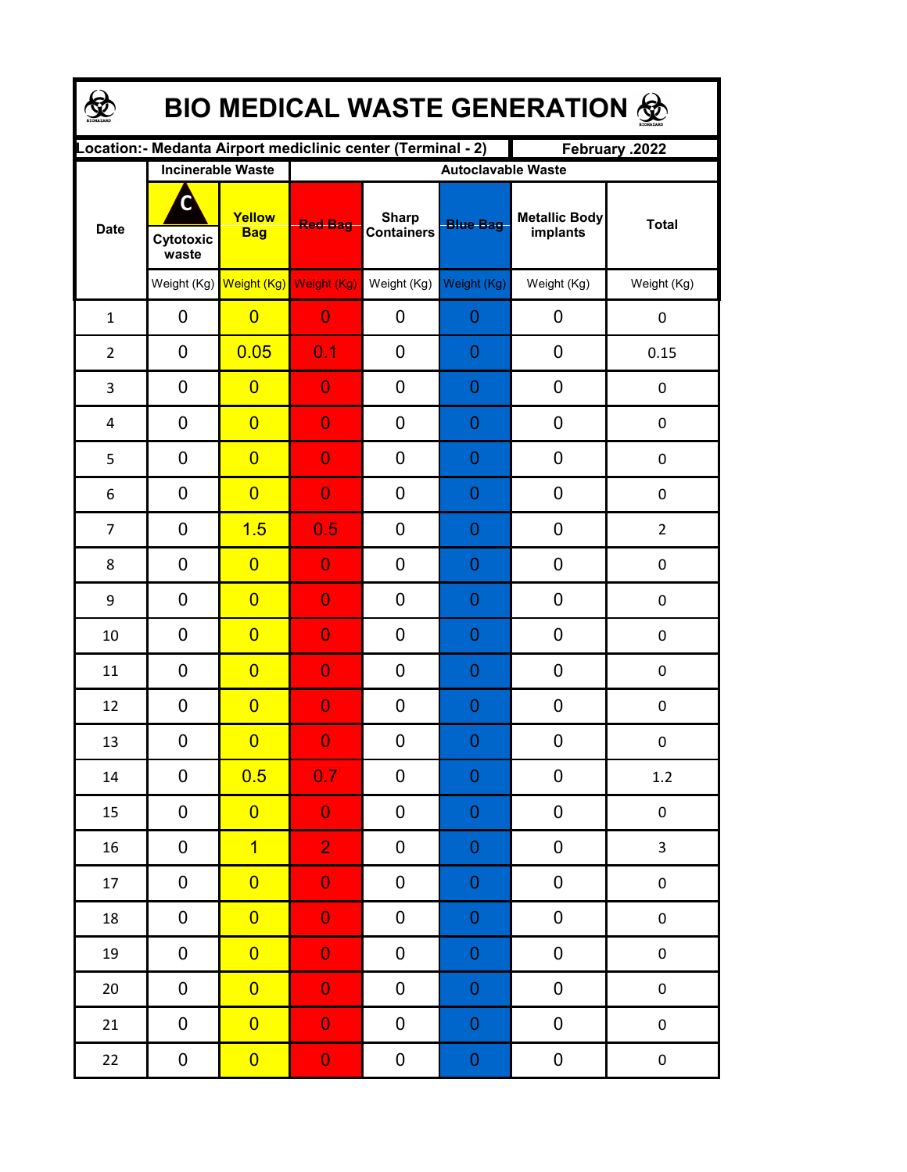| <b>BIO MEDICAL WASTE GENERATION ®</b> |                         |                                                  |                                                                                |                                   |                                              |                                  |                  |  |  |  |
|---------------------------------------|-------------------------|--------------------------------------------------|--------------------------------------------------------------------------------|-----------------------------------|----------------------------------------------|----------------------------------|------------------|--|--|--|
|                                       |                         |                                                  | Location: - Medanta Airport mediclinic center (Terminal - 2)<br>February .2022 |                                   |                                              |                                  |                  |  |  |  |
| <b>Date</b>                           | C<br>Cytotoxic<br>waste | <b>Incinerable Waste</b><br>Yellow<br><b>Bag</b> | <b>Red Bag</b>                                                                 | <b>Sharp</b><br><b>Containers</b> | <b>Autoclavable Waste</b><br><b>Blue Bag</b> | <b>Metallic Body</b><br>implants | <b>Total</b>     |  |  |  |
|                                       |                         | Weight (Kg) Weight (Kg) Weight (Kg)              |                                                                                | Weight (Kg)                       | Weight (Kg)                                  | Weight (Kg)                      | Weight (Kg)      |  |  |  |
| $\mathbf{1}$                          | $\mathbf 0$             | $\overline{0}$                                   | $\overline{0}$                                                                 | 0                                 | 0                                            | 0                                | 0                |  |  |  |
| $\overline{2}$                        | $\mathbf 0$             | 0.05                                             | 0.1                                                                            | 0                                 | $\overline{0}$                               | 0                                | 0.15             |  |  |  |
| 3                                     | $\mathbf 0$             | $\overline{0}$                                   | $\overline{0}$                                                                 | 0                                 | $\overline{0}$                               | 0                                | 0                |  |  |  |
| $\overline{4}$                        | $\mathbf 0$             | $\overline{0}$                                   | $\overline{0}$                                                                 | 0                                 | $\overline{0}$                               | 0                                | $\pmb{0}$        |  |  |  |
| 5                                     | $\mathbf 0$             | $\overline{0}$                                   | $\overline{0}$                                                                 | 0                                 | $\overline{0}$                               | 0                                | $\pmb{0}$        |  |  |  |
| 6                                     | $\mathbf 0$             | $\overline{0}$                                   | $\overline{0}$                                                                 | 0                                 | $\overline{0}$                               | 0                                | $\pmb{0}$        |  |  |  |
| $\overline{7}$                        | $\mathbf 0$             | 1.5                                              | 0.5                                                                            | 0                                 | $\overline{0}$                               | 0                                | $\overline{2}$   |  |  |  |
| 8                                     | $\mathbf 0$             | $\overline{0}$                                   | $\overline{0}$                                                                 | 0                                 | $\overline{0}$                               | 0                                | $\pmb{0}$        |  |  |  |
| 9                                     | $\mathbf 0$             | $\overline{0}$                                   | $\overline{0}$                                                                 | 0                                 | $\overline{0}$                               | 0                                | $\boldsymbol{0}$ |  |  |  |
| 10                                    | $\mathbf 0$             | $\overline{0}$                                   | $\overline{0}$                                                                 | 0                                 | $\overline{0}$                               | 0                                | 0                |  |  |  |
| 11                                    | $\mathbf 0$             | $\overline{0}$                                   | 0                                                                              | 0                                 | $\overline{0}$                               | $\mathbf 0$                      | $\boldsymbol{0}$ |  |  |  |
| 12                                    | $\mathbf 0$             | $\overline{0}$                                   | $\overline{0}$                                                                 | 0                                 | $\overline{0}$                               | $\mathbf 0$                      | $\boldsymbol{0}$ |  |  |  |
| 13                                    | 0                       | $\overline{\mathbf{0}}$                          | $\Omega$                                                                       | 0                                 | $\Omega$                                     | $\boldsymbol{0}$                 | 0                |  |  |  |
| 14                                    | 0                       | 0.5                                              | 0.7 <sub>l</sub>                                                               | 0                                 | $\boldsymbol{0}$                             | 0                                | 1.2              |  |  |  |
| 15                                    | 0                       | $\overline{0}$                                   | $\overline{0}$                                                                 | 0                                 | $\boldsymbol{0}$                             | $\pmb{0}$                        | $\pmb{0}$        |  |  |  |
| 16                                    | 0                       | $\overline{1}$                                   | $\overline{2}$                                                                 | 0                                 | $\boldsymbol{0}$                             | $\pmb{0}$                        | 3                |  |  |  |
| 17                                    | 0                       | $\overline{0}$                                   | $\overline{0}$                                                                 | 0                                 | $\boldsymbol{0}$                             | $\pmb{0}$                        | $\pmb{0}$        |  |  |  |
| 18                                    | 0                       | $\overline{0}$                                   | $\overline{0}$                                                                 | 0                                 | $\boldsymbol{0}$                             | $\pmb{0}$                        | $\pmb{0}$        |  |  |  |
| 19                                    | 0                       | $\overline{0}$                                   | $\overline{0}$                                                                 | 0                                 | $\boldsymbol{0}$                             | $\pmb{0}$                        | $\pmb{0}$        |  |  |  |
| $20\,$                                | 0                       | $\overline{0}$                                   | $\overline{0}$                                                                 | 0                                 | $\boldsymbol{0}$                             | 0                                | $\pmb{0}$        |  |  |  |
| 21                                    | 0                       | $\overline{0}$                                   | $\overline{0}$                                                                 | 0                                 | $\boldsymbol{0}$                             | $\pmb{0}$                        | $\pmb{0}$        |  |  |  |
| 22                                    | 0                       | $\overline{0}$                                   | $\boldsymbol{0}$                                                               | 0                                 | $\overline{0}$                               | $\pmb{0}$                        | $\pmb{0}$        |  |  |  |